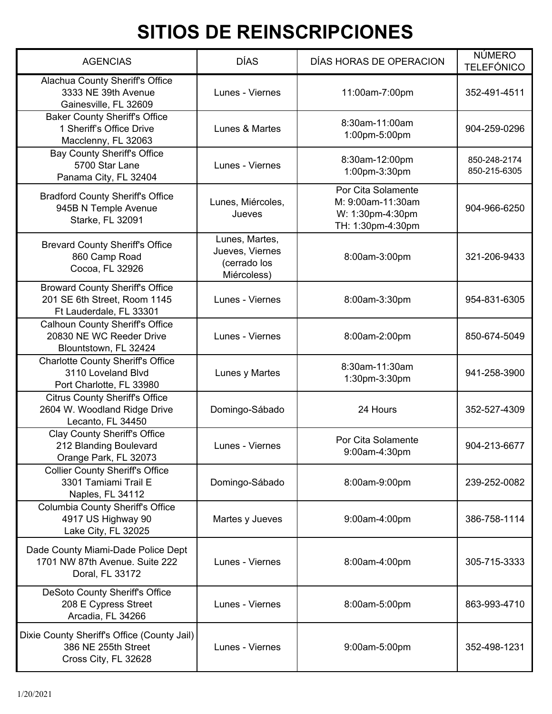| <b>AGENCIAS</b>                                                                                   | <b>DÍAS</b>                                                      | DÍAS HORAS DE OPERACION                                                          | <b>NÚMERO</b><br><b>TELEFÓNICO</b> |
|---------------------------------------------------------------------------------------------------|------------------------------------------------------------------|----------------------------------------------------------------------------------|------------------------------------|
| Alachua County Sheriff's Office<br>3333 NE 39th Avenue<br>Gainesville, FL 32609                   | Lunes - Viernes                                                  | 11:00am-7:00pm                                                                   | 352-491-4511                       |
| <b>Baker County Sheriff's Office</b><br>1 Sheriff's Office Drive<br>Macclenny, FL 32063           | Lunes & Martes                                                   | 8:30am-11:00am<br>1:00pm-5:00pm                                                  | 904-259-0296                       |
| <b>Bay County Sheriff's Office</b><br>5700 Star Lane<br>Panama City, FL 32404                     | Lunes - Viernes                                                  | 8:30am-12:00pm<br>1:00pm-3:30pm                                                  | 850-248-2174<br>850-215-6305       |
| <b>Bradford County Sheriff's Office</b><br>945B N Temple Avenue<br>Starke, FL 32091               | Lunes, Miércoles,<br>Jueves                                      | Por Cita Solamente<br>M: 9:00am-11:30am<br>W: 1:30pm-4:30pm<br>TH: 1:30pm-4:30pm | 904-966-6250                       |
| <b>Brevard County Sheriff's Office</b><br>860 Camp Road<br>Cocoa, FL 32926                        | Lunes, Martes,<br>Jueves, Viernes<br>(cerrado los<br>Miércoless) | 8:00am-3:00pm                                                                    | 321-206-9433                       |
| <b>Broward County Sheriff's Office</b><br>201 SE 6th Street, Room 1145<br>Ft Lauderdale, FL 33301 | Lunes - Viernes                                                  | 8:00am-3:30pm                                                                    | 954-831-6305                       |
| <b>Calhoun County Sheriff's Office</b><br>20830 NE WC Reeder Drive<br>Blountstown, FL 32424       | Lunes - Viernes                                                  | 8:00am-2:00pm                                                                    | 850-674-5049                       |
| <b>Charlotte County Sheriff's Office</b><br>3110 Loveland Blvd<br>Port Charlotte, FL 33980        | Lunes y Martes                                                   | 8:30am-11:30am<br>1:30pm-3:30pm                                                  | 941-258-3900                       |
| <b>Citrus County Sheriff's Office</b><br>2604 W. Woodland Ridge Drive<br>Lecanto, FL 34450        | Domingo-Sábado                                                   | 24 Hours                                                                         | 352-527-4309                       |
| <b>Clay County Sheriff's Office</b><br>212 Blanding Boulevard<br>Orange Park, FL 32073            | Lunes - Viernes                                                  | Por Cita Solamente<br>9:00am-4:30pm                                              | 904-213-6677                       |
| <b>Collier County Sheriff's Office</b><br>3301 Tamiami Trail E<br>Naples, FL 34112                | Domingo-Sábado                                                   | 8:00am-9:00pm                                                                    | 239-252-0082                       |
| <b>Columbia County Sheriff's Office</b><br>4917 US Highway 90<br>Lake City, FL 32025              | Martes y Jueves                                                  | 9:00am-4:00pm                                                                    | 386-758-1114                       |
| Dade County Miami-Dade Police Dept<br>1701 NW 87th Avenue. Suite 222<br>Doral, FL 33172           | Lunes - Viernes                                                  | 8:00am-4:00pm                                                                    | 305-715-3333                       |
| DeSoto County Sheriff's Office<br>208 E Cypress Street<br>Arcadia, FL 34266                       | Lunes - Viernes                                                  | 8:00am-5:00pm                                                                    | 863-993-4710                       |
| Dixie County Sheriff's Office (County Jail)<br>386 NE 255th Street<br>Cross City, FL 32628        | Lunes - Viernes                                                  | 9:00am-5:00pm                                                                    | 352-498-1231                       |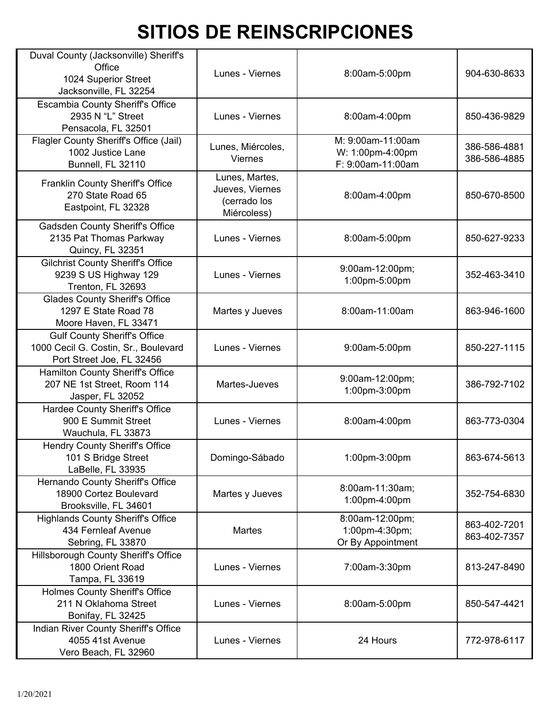| Duval County (Jacksonville) Sheriff's<br>Office<br>1024 Superior Street<br>Jacksonville, FL 32254        | Lunes - Viernes                                                  | 8:00am-5:00pm                                              | 904-630-8633                 |
|----------------------------------------------------------------------------------------------------------|------------------------------------------------------------------|------------------------------------------------------------|------------------------------|
| <b>Escambia County Sheriff's Office</b><br>2935 N "L" Street<br>Pensacola, FL 32501                      | Lunes - Viernes                                                  | 8:00am-4:00pm                                              | 850-436-9829                 |
| Flagler County Sheriff's Office (Jail)<br>1002 Justice Lane<br>Bunnell, FL 32110                         | Lunes, Miércoles,<br><b>Viernes</b>                              | M: 9:00am-11:00am<br>W: 1:00pm-4:00pm<br>F: 9:00am-11:00am | 386-586-4881<br>386-586-4885 |
| Franklin County Sheriff's Office<br>270 State Road 65<br>Eastpoint, FL 32328                             | Lunes, Martes,<br>Jueves, Viernes<br>(cerrado los<br>Miércoless) | 8:00am-4:00pm                                              | 850-670-8500                 |
| <b>Gadsden County Sheriff's Office</b><br>2135 Pat Thomas Parkway<br>Quincy, FL 32351                    | Lunes - Viernes                                                  | 8:00am-5:00pm                                              | 850-627-9233                 |
| <b>Gilchrist County Sheriff's Office</b><br>9239 S US Highway 129<br>Trenton, FL 32693                   | Lunes - Viernes                                                  | 9:00am-12:00pm;<br>1:00pm-5:00pm                           | 352-463-3410                 |
| <b>Glades County Sheriff's Office</b><br>1297 E State Road 78<br>Moore Haven, FL 33471                   | Martes y Jueves                                                  | 8:00am-11:00am                                             | 863-946-1600                 |
| <b>Gulf County Sheriff's Office</b><br>1000 Cecil G. Costin, Sr., Boulevard<br>Port Street Joe, FL 32456 | Lunes - Viernes                                                  | 9:00am-5:00pm                                              | 850-227-1115                 |
| Hamilton County Sheriff's Office<br>207 NE 1st Street, Room 114<br>Jasper, FL 32052                      | Martes-Jueves                                                    | 9:00am-12:00pm;<br>1:00pm-3:00pm                           | 386-792-7102                 |
| Hardee County Sheriff's Office<br>900 E Summit Street<br>Wauchula, FL 33873                              | Lunes - Viernes                                                  | 8:00am-4:00pm                                              | 863-773-0304                 |
| <b>Hendry County Sheriff's Office</b><br>101 S Bridge Street<br>LaBelle, FL 33935                        | Domingo-Sábado                                                   | 1:00pm-3:00pm                                              | 863-674-5613                 |
| Hernando County Sheriff's Office<br>18900 Cortez Boulevard<br>Brooksville, FL 34601                      | Martes y Jueves                                                  | 8:00am-11:30am;<br>1:00pm-4:00pm                           | 352-754-6830                 |
| <b>Highlands County Sheriff's Office</b><br>434 Fernleaf Avenue<br>Sebring, FL 33870                     | <b>Martes</b>                                                    | 8:00am-12:00pm;<br>1:00pm-4:30pm;<br>Or By Appointment     | 863-402-7201<br>863-402-7357 |
| Hillsborough County Sheriff's Office<br>1800 Orient Road<br>Tampa, FL 33619                              | Lunes - Viernes                                                  | 7:00am-3:30pm                                              | 813-247-8490                 |
| <b>Holmes County Sheriff's Office</b><br>211 N Oklahoma Street<br>Bonifay, FL 32425                      | Lunes - Viernes                                                  | 8:00am-5:00pm                                              | 850-547-4421                 |
| Indian River County Sheriff's Office<br>4055 41st Avenue<br>Vero Beach, FL 32960                         | Lunes - Viernes                                                  | 24 Hours                                                   | 772-978-6117                 |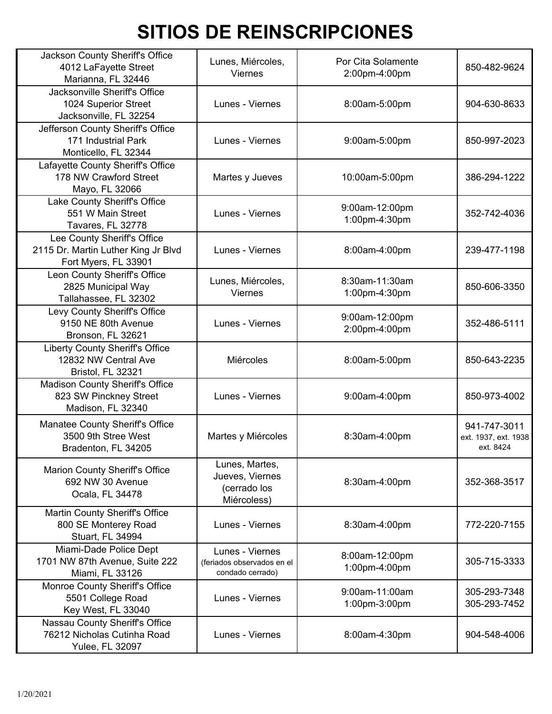| Jackson County Sheriff's Office<br>4012 LaFayette Street<br>Marianna, FL 32446             | Lunes, Miércoles,<br>Viernes                                      | Por Cita Solamente<br>2:00pm-4:00pm | 850-482-9624                                      |
|--------------------------------------------------------------------------------------------|-------------------------------------------------------------------|-------------------------------------|---------------------------------------------------|
| Jacksonville Sheriff's Office<br>1024 Superior Street<br>Jacksonville, FL 32254            | Lunes - Viernes                                                   | 8:00am-5:00pm                       | 904-630-8633                                      |
| Jefferson County Sheriff's Office<br>171 Industrial Park<br>Monticello, FL 32344           | Lunes - Viernes                                                   | 9:00am-5:00pm                       | 850-997-2023                                      |
| Lafayette County Sheriff's Office<br>178 NW Crawford Street<br>Mayo, FL 32066              | Martes y Jueves                                                   | 10:00am-5:00pm                      | 386-294-1222                                      |
| Lake County Sheriff's Office<br>551 W Main Street<br>Tavares, FL 32778                     | Lunes - Viernes                                                   | 9:00am-12:00pm<br>1:00pm-4:30pm     | 352-742-4036                                      |
| Lee County Sheriff's Office<br>2115 Dr. Martin Luther King Jr Blvd<br>Fort Myers, FL 33901 | Lunes - Viernes                                                   | 8:00am-4:00pm                       | 239-477-1198                                      |
| Leon County Sheriff's Office<br>2825 Municipal Way<br>Tallahassee, FL 32302                | Lunes, Miércoles,<br>Viernes                                      | 8:30am-11:30am<br>1:00pm-4:30pm     | 850-606-3350                                      |
| Levy County Sheriff's Office<br>9150 NE 80th Avenue<br>Bronson, FL 32621                   | Lunes - Viernes                                                   | 9:00am-12:00pm<br>2:00pm-4:00pm     | 352-486-5111                                      |
| <b>Liberty County Sheriff's Office</b><br>12832 NW Central Ave<br>Bristol, FL 32321        | Miércoles                                                         | 8:00am-5:00pm                       | 850-643-2235                                      |
| Madison County Sheriff's Office<br>823 SW Pinckney Street<br>Madison, FL 32340             | Lunes - Viernes                                                   | 9:00am-4:00pm                       | 850-973-4002                                      |
| Manatee County Sheriff's Office<br>3500 9th Stree West<br>Bradenton, FL 34205              | Martes y Miércoles                                                | 8:30am-4:00pm                       | 941-747-3011<br>ext. 1937, ext. 1938<br>ext. 8424 |
| <b>Marion County Sheriff's Office</b><br>692 NW 30 Avenue<br>Ocala, FL 34478               | Lunes, Martes,<br>Jueves, Viernes<br>(cerrado los<br>Miércoless)  | 8:30am-4:00pm                       | 352-368-3517                                      |
| Martin County Sheriff's Office<br>800 SE Monterey Road<br>Stuart, FL 34994                 | Lunes - Viernes                                                   | 8:30am-4:00pm                       | 772-220-7155                                      |
| Miami-Dade Police Dept<br>1701 NW 87th Avenue, Suite 222<br>Miami, FL 33126                | Lunes - Viernes<br>(feriados observados en el<br>condado cerrado) | 8:00am-12:00pm<br>1:00pm-4:00pm     | 305-715-3333                                      |
| Monroe County Sheriff's Office<br>5501 College Road<br>Key West, FL 33040                  | Lunes - Viernes                                                   | 9:00am-11:00am<br>1:00pm-3:00pm     | 305-293-7348<br>305-293-7452                      |
| Nassau County Sheriff's Office<br>76212 Nicholas Cutinha Road<br>Yulee, FL 32097           | Lunes - Viernes                                                   | 8:00am-4:30pm                       | 904-548-4006                                      |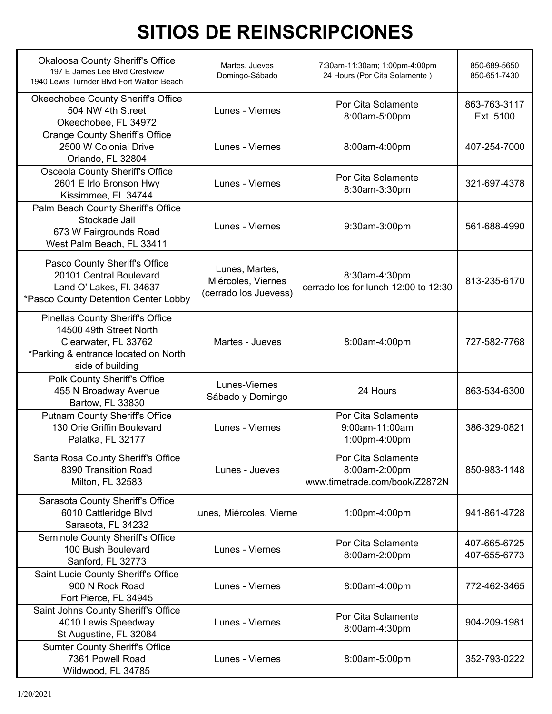| <b>Okaloosa County Sheriff's Office</b><br>197 E James Lee Blvd Crestview<br>1940 Lewis Turnder Blvd Fort Walton Beach                                 | Martes, Jueves<br>Domingo-Sábado                              | 7:30am-11:30am; 1:00pm-4:00pm<br>24 Hours (Por Cita Solamente)       | 850-689-5650<br>850-651-7430 |
|--------------------------------------------------------------------------------------------------------------------------------------------------------|---------------------------------------------------------------|----------------------------------------------------------------------|------------------------------|
| Okeechobee County Sheriff's Office<br>504 NW 4th Street<br>Okeechobee, FL 34972                                                                        | Lunes - Viernes                                               | Por Cita Solamente<br>8:00am-5:00pm                                  | 863-763-3117<br>Ext. 5100    |
| <b>Orange County Sheriff's Office</b><br>2500 W Colonial Drive<br>Orlando, FL 32804                                                                    | Lunes - Viernes                                               | 8:00am-4:00pm                                                        | 407-254-7000                 |
| Osceola County Sheriff's Office<br>2601 E Irlo Bronson Hwy<br>Kissimmee, FL 34744                                                                      | Lunes - Viernes                                               | Por Cita Solamente<br>8:30am-3:30pm                                  | 321-697-4378                 |
| Palm Beach County Sheriff's Office<br>Stockade Jail<br>673 W Fairgrounds Road<br>West Palm Beach, FL 33411                                             | Lunes - Viernes                                               | 9:30am-3:00pm                                                        | 561-688-4990                 |
| Pasco County Sheriff's Office<br>20101 Central Boulevard<br>Land O' Lakes, Fl. 34637<br>*Pasco County Detention Center Lobby                           | Lunes, Martes,<br>Miércoles, Viernes<br>(cerrado los Juevess) | 8:30am-4:30pm<br>cerrado los for lunch 12:00 to 12:30                | 813-235-6170                 |
| <b>Pinellas County Sheriff's Office</b><br>14500 49th Street North<br>Clearwater, FL 33762<br>*Parking & entrance located on North<br>side of building | Martes - Jueves                                               | 8:00am-4:00pm                                                        | 727-582-7768                 |
| Polk County Sheriff's Office<br>455 N Broadway Avenue<br>Bartow, FL 33830                                                                              | Lunes-Viernes<br>Sábado y Domingo                             | 24 Hours                                                             | 863-534-6300                 |
| <b>Putnam County Sheriff's Office</b><br>130 Orie Griffin Boulevard<br>Palatka, FL 32177                                                               | Lunes - Viernes                                               | Por Cita Solamente<br>9:00am-11:00am<br>1:00pm-4:00pm                | 386-329-0821                 |
| Santa Rosa County Sheriff's Office<br>8390 Transition Road<br>Milton, FL 32583                                                                         | Lunes - Jueves                                                | Por Cita Solamente<br>8:00am-2:00pm<br>www.timetrade.com/book/Z2872N | 850-983-1148                 |
| Sarasota County Sheriff's Office<br>6010 Cattleridge Blvd<br>Sarasota, FL 34232                                                                        | unes, Miércoles, Vierne                                       | 1:00pm-4:00pm                                                        | 941-861-4728                 |
| Seminole County Sheriff's Office<br>100 Bush Boulevard<br>Sanford, FL 32773                                                                            | Lunes - Viernes                                               | Por Cita Solamente<br>8:00am-2:00pm                                  | 407-665-6725<br>407-655-6773 |
| Saint Lucie County Sheriff's Office<br>900 N Rock Road<br>Fort Pierce, FL 34945                                                                        | Lunes - Viernes                                               | 8:00am-4:00pm                                                        | 772-462-3465                 |
| Saint Johns County Sheriff's Office<br>4010 Lewis Speedway<br>St Augustine, FL 32084                                                                   | Lunes - Viernes                                               | Por Cita Solamente<br>8:00am-4:30pm                                  | 904-209-1981                 |
| <b>Sumter County Sheriff's Office</b><br>7361 Powell Road<br>Wildwood, FL 34785                                                                        | Lunes - Viernes                                               | 8:00am-5:00pm                                                        | 352-793-0222                 |